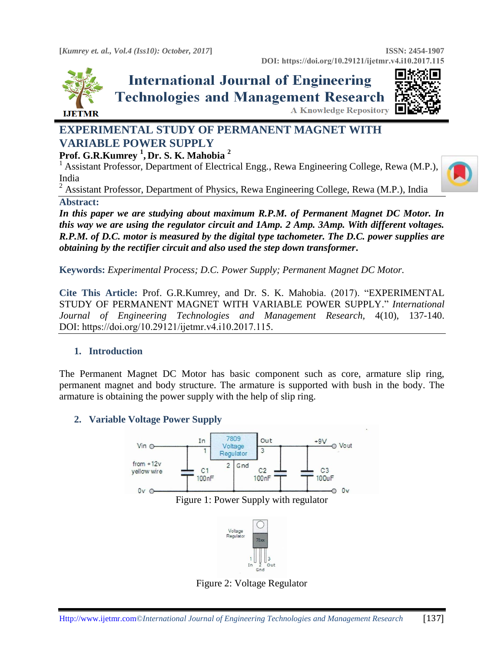

# **International Journal of Engineering Technologies and Management Research A Knowledge Repository**



# **EXPERIMENTAL STUDY OF PERMANENT MAGNET WITH VARIABLE POWER SUPPLY**

# **Prof. G.R.Kumrey <sup>1</sup> , Dr. S. K. Mahobia <sup>2</sup>**

<sup>1</sup> Assistant Professor, Department of Electrical Engg., Rewa Engineering College, Rewa (M.P.), India



<sup>2</sup> Assistant Professor, Department of Physics, Rewa Engineering College, Rewa (M.P.), India **Abstract:** 

*In this paper we are studying about maximum R.P.M. of Permanent Magnet DC Motor. In this way we are using the regulator circuit and 1Amp. 2 Amp. 3Amp. With different voltages. R.P.M. of D.C. motor is measured by the digital type tachometer. The D.C. power supplies are obtaining by the rectifier circuit and also used the step down transformer***.**

**Keywords:** *Experimental Process; D.C. Power Supply; Permanent Magnet DC Motor.* 

**Cite This Article:** Prof. G.R.Kumrey, and Dr. S. K. Mahobia. (2017). "EXPERIMENTAL STUDY OF PERMANENT MAGNET WITH VARIABLE POWER SUPPLY." *International Journal of Engineering Technologies and Management Research,* 4(10), 137-140. DOI: https://doi.org/10.29121/ijetmr.v4.i10.2017.115.

# **1. Introduction**

The Permanent Magnet DC Motor has basic component such as core, armature slip ring, permanent magnet and body structure. The armature is supported with bush in the body. The armature is obtaining the power supply with the help of slip ring.

# **2. Variable Voltage Power Supply**



Figure 2: Voltage Regulator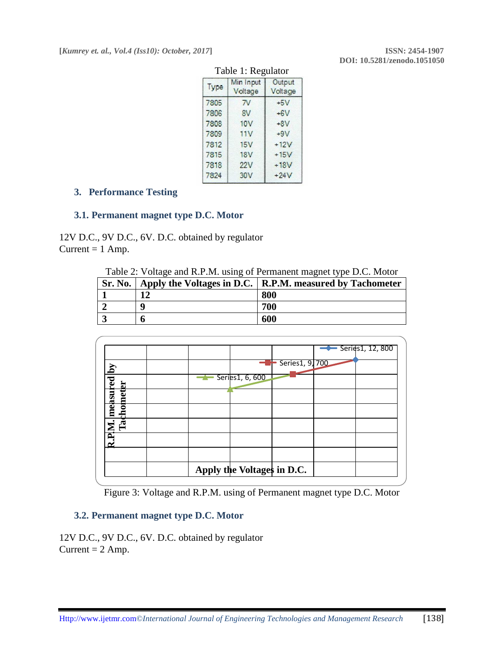| Table 1. Regulator |                          |                   |
|--------------------|--------------------------|-------------------|
| Type               | Min Input<br>Voltage     | Output<br>Voltage |
| 7805               | $\overline{\mathcal{N}}$ | $+5V$             |
| 7806               | 8V                       | $+6V$             |
| 7808               | <b>10V</b>               | $+8V$             |
| 7809               | 11V                      | $+9V$             |
| 7812               | 15V                      | $+12V$            |
| 7815               | 18V                      | $+15V$            |
| 7818               | 22V                      | $+18V$            |
| 7824               | 30 <sub>V</sub>          | $+24V$            |
|                    |                          |                   |

#### Table 1: Regulator

# **3. Performance Testing**

#### **3.1. Permanent magnet type D.C. Motor**

12V D.C., 9V D.C., 6V. D.C. obtained by regulator Current  $= 1$  Amp.

Table 2: Voltage and R.P.M. using of Permanent magnet type D.C. Motor

|   | Sr. No.   Apply the Voltages in D.C.   R.P.M. measured by Tachometer |
|---|----------------------------------------------------------------------|
|   | 800                                                                  |
| a | 700                                                                  |
|   | 600                                                                  |





#### **3.2. Permanent magnet type D.C. Motor**

12V D.C., 9V D.C., 6V. D.C. obtained by regulator Current  $= 2$  Amp.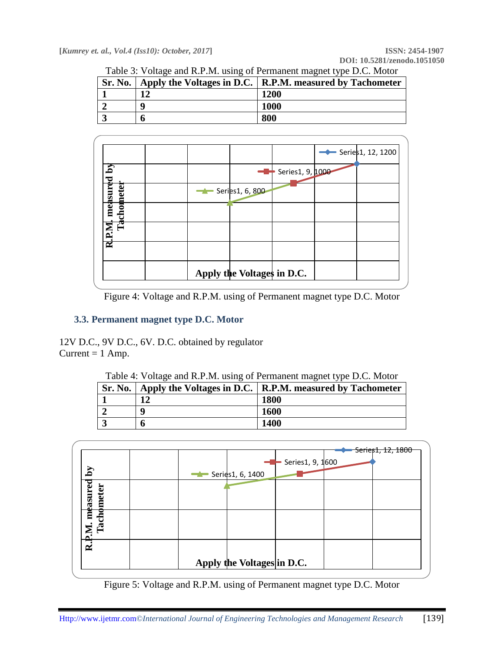**[***Kumrey et. al., Vol.4 (Iss10): October, 2017***] ISSN: 2454-1907**

|  | Table 3: Voltage and R.P.M. using of Permanent magnet type D.C. Motor |  |  |
|--|-----------------------------------------------------------------------|--|--|
|  |                                                                       |  |  |

|   | Sr. No.   Apply the Voltages in D.C.   R.P.M. measured by Tachometer |
|---|----------------------------------------------------------------------|
|   | <b>1200</b>                                                          |
| a | <b>1000</b>                                                          |
|   | 800                                                                  |



Figure 4: Voltage and R.P.M. using of Permanent magnet type D.C. Motor

# **3.3. Permanent magnet type D.C. Motor**

12V D.C., 9V D.C., 6V. D.C. obtained by regulator Current  $= 1$  Amp.

| Table 4: Voltage and R.P.M. using of Permanent magnet type D.C. Motor |    |                                                                      |
|-----------------------------------------------------------------------|----|----------------------------------------------------------------------|
|                                                                       |    | Sr. No.   Apply the Voltages in D.C.   R.P.M. measured by Tachometer |
|                                                                       | 19 | <b>1800</b>                                                          |
|                                                                       | Q  | <b>1600</b>                                                          |
|                                                                       | n  | 1400                                                                 |



Figure 5: Voltage and R.P.M. using of Permanent magnet type D.C. Motor